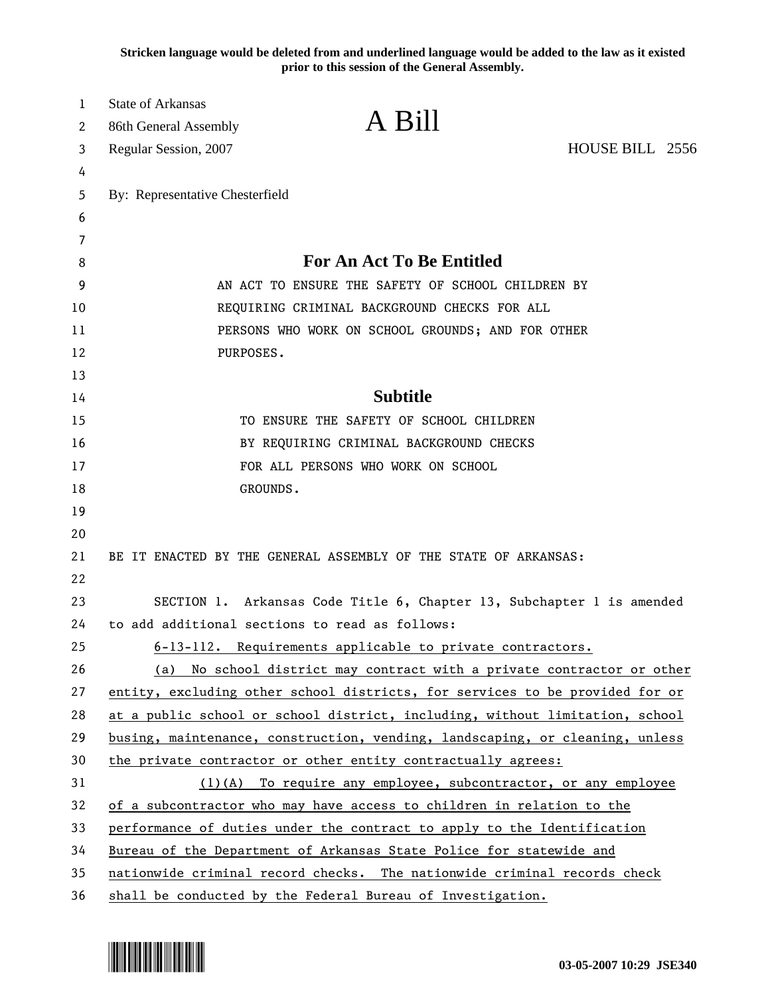**Stricken language would be deleted from and underlined language would be added to the law as it existed prior to this session of the General Assembly.**

| $\bf{l}$ | <b>State of Arkansas</b>        | A Bill                                                                       |                 |
|----------|---------------------------------|------------------------------------------------------------------------------|-----------------|
| 2        | 86th General Assembly           |                                                                              |                 |
| 3        | Regular Session, 2007           |                                                                              | HOUSE BILL 2556 |
| 4        |                                 |                                                                              |                 |
| 5        | By: Representative Chesterfield |                                                                              |                 |
| 6        |                                 |                                                                              |                 |
| 7        |                                 | <b>For An Act To Be Entitled</b>                                             |                 |
| 8<br>9   |                                 | AN ACT TO ENSURE THE SAFETY OF SCHOOL CHILDREN BY                            |                 |
| 10       |                                 |                                                                              |                 |
| 11       |                                 | REQUIRING CRIMINAL BACKGROUND CHECKS FOR ALL                                 |                 |
| 12       | PURPOSES.                       | PERSONS WHO WORK ON SCHOOL GROUNDS; AND FOR OTHER                            |                 |
| 13       |                                 |                                                                              |                 |
| 14       |                                 | <b>Subtitle</b>                                                              |                 |
| 15       |                                 | TO ENSURE THE SAFETY OF SCHOOL CHILDREN                                      |                 |
| 16       |                                 | BY REQUIRING CRIMINAL BACKGROUND CHECKS                                      |                 |
| 17       |                                 | FOR ALL PERSONS WHO WORK ON SCHOOL                                           |                 |
| 18       | GROUNDS.                        |                                                                              |                 |
| 19       |                                 |                                                                              |                 |
| 20       |                                 |                                                                              |                 |
| 21       |                                 | BE IT ENACTED BY THE GENERAL ASSEMBLY OF THE STATE OF ARKANSAS:              |                 |
| 22       |                                 |                                                                              |                 |
| 23       |                                 | SECTION 1. Arkansas Code Title 6, Chapter 13, Subchapter 1 is amended        |                 |
| 24       |                                 | to add additional sections to read as follows:                               |                 |
| 25       |                                 | 6-13-112. Requirements applicable to private contractors.                    |                 |
| 26       | (a)                             | No school district may contract with a private contractor or other           |                 |
| 27       |                                 | entity, excluding other school districts, for services to be provided for or |                 |
| 28       |                                 | at a public school or school district, including, without limitation, school |                 |
| 29       |                                 | busing, maintenance, construction, vending, landscaping, or cleaning, unless |                 |
| 30       |                                 | the private contractor or other entity contractually agrees:                 |                 |
| 31       |                                 | $(1)(A)$ To require any employee, subcontractor, or any employee             |                 |
| 32       |                                 | of a subcontractor who may have access to children in relation to the        |                 |
| 33       |                                 | performance of duties under the contract to apply to the Identification      |                 |
| 34       |                                 | Bureau of the Department of Arkansas State Police for statewide and          |                 |
| 35       |                                 | nationwide criminal record checks. The nationwide criminal records check     |                 |
| 36       |                                 | shall be conducted by the Federal Bureau of Investigation.                   |                 |

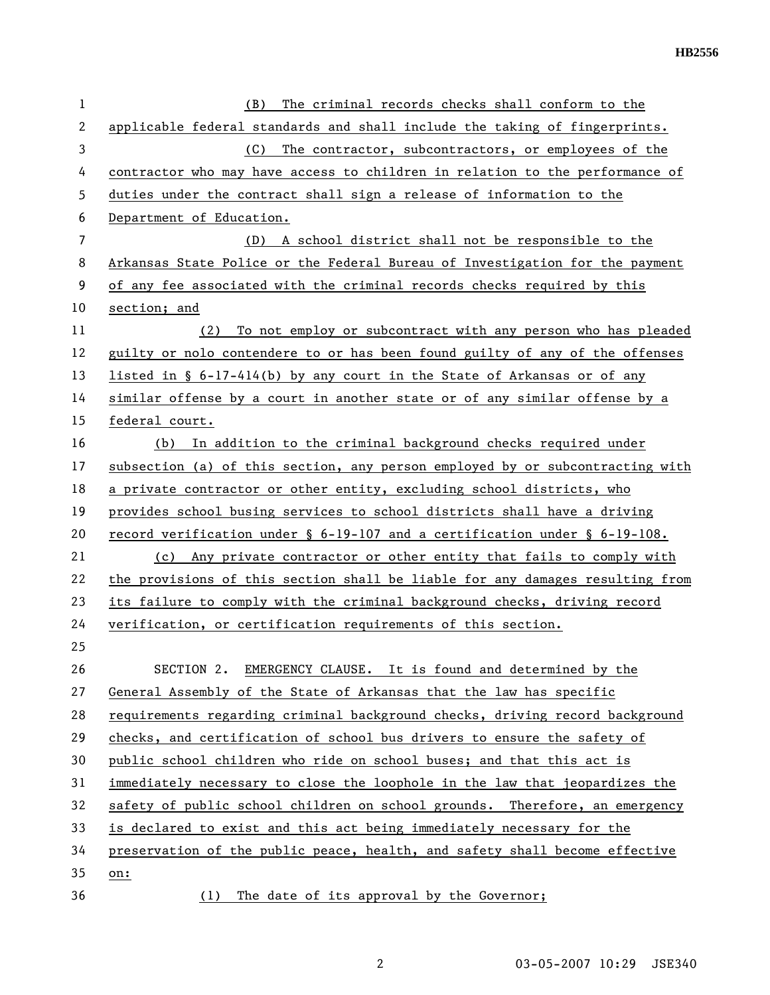| 1              | The criminal records checks shall conform to the<br>(B)                          |  |  |
|----------------|----------------------------------------------------------------------------------|--|--|
| $\overline{2}$ | applicable federal standards and shall include the taking of fingerprints.       |  |  |
| 3              | (C)<br>The contractor, subcontractors, or employees of the                       |  |  |
| 4              | contractor who may have access to children in relation to the performance of     |  |  |
| 5              | duties under the contract shall sign a release of information to the             |  |  |
| 6              | Department of Education.                                                         |  |  |
| 7              | (D) A school district shall not be responsible to the                            |  |  |
| 8              | Arkansas State Police or the Federal Bureau of Investigation for the payment     |  |  |
| 9              | of any fee associated with the criminal records checks required by this          |  |  |
| 10             | section; and                                                                     |  |  |
| 11             | (2)<br>To not employ or subcontract with any person who has pleaded              |  |  |
| 12             | guilty or nolo contendere to or has been found guilty of any of the offenses     |  |  |
| 13             | listed in $\S$ 6-17-414(b) by any court in the State of Arkansas or of any       |  |  |
| 14             | similar offense by a court in another state or of any similar offense by a       |  |  |
| 15             | federal court.                                                                   |  |  |
| 16             | In addition to the criminal background checks required under<br>(b)              |  |  |
| 17             | subsection (a) of this section, any person employed by or subcontracting with    |  |  |
| 18             | a private contractor or other entity, excluding school districts, who            |  |  |
| 19             | provides school busing services to school districts shall have a driving         |  |  |
| 20             | record verification under $\S$ 6-19-107 and a certification under $\S$ 6-19-108. |  |  |
| 21             | (c) Any private contractor or other entity that fails to comply with             |  |  |
| 22             | the provisions of this section shall be liable for any damages resulting from    |  |  |
| 23             | its failure to comply with the criminal background checks, driving record        |  |  |
| 24             | verification, or certification requirements of this section.                     |  |  |
| 25             |                                                                                  |  |  |
| 26             | SECTION 2. EMERGENCY CLAUSE. It is found and determined by the                   |  |  |
| 27             | General Assembly of the State of Arkansas that the law has specific              |  |  |
| 28             | requirements regarding criminal background checks, driving record background     |  |  |
| 29             | checks, and certification of school bus drivers to ensure the safety of          |  |  |
| 30             | public school children who ride on school buses; and that this act is            |  |  |
| 31             | immediately necessary to close the loophole in the law that jeopardizes the      |  |  |
| 32             | safety of public school children on school grounds. Therefore, an emergency      |  |  |
| 33             | is declared to exist and this act being immediately necessary for the            |  |  |
| 34             | preservation of the public peace, health, and safety shall become effective      |  |  |
| 35             | on:                                                                              |  |  |
| 36             | The date of its approval by the Governor;<br>(1)                                 |  |  |